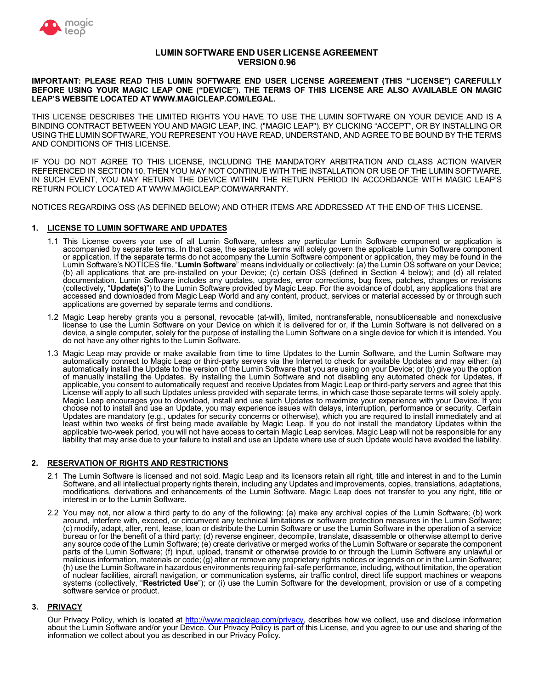

# **LUMIN SOFTWARE END USER LICENSE AGREEMENT VERSION 0.96**

#### **IMPORTANT: PLEASE READ THIS LUMIN SOFTWARE END USER LICENSE AGREEMENT (THIS "LICENSE") CAREFULLY BEFORE USING YOUR MAGIC LEAP ONE ("DEVICE"). THE TERMS OF THIS LICENSE ARE ALSO AVAILABLE ON MAGIC LEAP'S WEBSITE LOCATED AT<WWW.MAGICLEAP.COM/LEGAL>.**

THIS LICENSE DESCRIBES THE LIMITED RIGHTS YOU HAVE TO USE THE LUMIN SOFTWARE ON YOUR DEVICE AND IS A BINDING CONTRACT BETWEEN YOU AND MAGIC LEAP, INC. ("MAGIC LEAP"). BY CLICKING "ACCEPT", OR BY INSTALLING OR USING THE LUMIN SOFTWARE, YOU REPRESENT YOU HAVE READ, UNDERSTAND, AND AGREE TO BE BOUND BY THE TERMS AND CONDITIONS OF THIS LICENSE.

IF YOU DO NOT AGREE TO THIS LICENSE, INCLUDING THE MANDATORY ARBITRATION AND CLASS ACTION WAIVER REFERENCED IN SECTION 10, THEN YOU MAY NOT CONTINUE WITH THE INSTALLATION OR USE OF THE LUMIN SOFTWARE. IN SUCH EVENT, YOU MAY RETURN THE DEVICE WITHIN THE RETURN PERIOD IN ACCORDANCE WITH MAGIC LEAP'S RETURN POLICY LOCATED AT<WWW.MAGICLEAP.COM/WARRANTY>.

NOTICES REGARDING OSS (AS DEFINED BELOW) AND OTHER ITEMS ARE ADDRESSED AT THE END OF THIS LICENSE.

## **1. LICENSE TO LUMIN SOFTWARE AND UPDATES**

- 1.1 This License covers your use of all Lumin Software, unless any particular Lumin Software component or application is accompanied by separate terms. In that case, the separate terms will solely govern the applicable Lumin Software component or application. If the separate terms do not accompany the Lumin Software component or application, they may be found in the Lumin Software's NOTICES file. "**Lumin Software**" means individually or collectively: (a) the Lumin OS software on your Device; (b) all applications that are pre-installed on your Device; (c) certain OSS (defined in Section 4 below); and (d) all related documentation. Lumin Software includes any updates, upgrades, error corrections, bug fixes, patches, changes or revisions (collectively, "**Update(s)**") to the Lumin Software provided by Magic Leap. For the avoidance of doubt, any applications that are accessed and downloaded from Magic Leap World and any content, product, services or material accessed by or through such applications are governed by separate terms and conditions.
- 1.2 Magic Leap hereby grants you a personal, revocable (at-will), limited, nontransferable, nonsublicensable and nonexclusive license to use the Lumin Software on your Device on which it is delivered for or, if the Lumin Software is not delivered on a device, a single computer, solely for the purpose of installing the Lumin Software on a single device for which it is intended. You do not have any other rights to the Lumin Software.
- 1.3 Magic Leap may provide or make available from time to time Updates to the Lumin Software, and the Lumin Software may automatically connect to Magic Leap or third-party servers via the Internet to check for available Updates and may either: (a) automatically install the Update to the version of the Lumin Software that you are using on your Device; or (b) give you the option of manually installing the Updates. By installing the Lumin Software and not disabling any automated check for Updates, if applicable, you consent to automatically request and receive Updates from Magic Leap or third-party servers and agree that this License will apply to all such Updates unless provided with separate terms, in which case those separate terms will solely apply. Magic Leap encourages you to download, install and use such Updates to maximize your experience with your Device. If you choose not to install and use an Update, you may experience issues with delays, interruption, performance or security. Certain Updates are mandatory (e.g., updates for security concerns or otherwise), which you are required to install immediately and at least within two weeks of first being made available by Magic Leap. If you do not install the mandatory Updates within the applicable two-week period, you will not have access to certain Magic Leap services. Magic Leap will not be responsible for any liability that may arise due to your failure to install and use an Update where use of such Update would have avoided the liability.

## **2. RESERVATION OF RIGHTS AND RESTRICTIONS**

- 2.1 The Lumin Software is licensed and not sold. Magic Leap and its licensors retain all right, title and interest in and to the Lumin Software, and all intellectual property rights therein, including any Updates and improvements, copies, translations, adaptations, modifications, derivations and enhancements of the Lumin Software. Magic Leap does not transfer to you any right, title or interest in or to the Lumin Software.
- 2.2 You may not, nor allow a third party to do any of the following: (a) make any archival copies of the Lumin Software; (b) work around, interfere with, exceed, or circumvent any technical limitations or software protection measures in the Lumin Software; (c) modify, adapt, alter, rent, lease, loan or distribute the Lumin Software or use the Lumin Software in the operation of a service bureau or for the benefit of a third party; (d) reverse engineer, decompile, translate, disassemble or otherwise attempt to derive any source code of the Lumin Software; (e) create derivative or merged works of the Lumin Software or separate the component parts of the Lumin Software; (f) input, upload, transmit or otherwise provide to or through the Lumin Software any unlawful or malicious information, materials or code; (g) alter or remove any proprietary rights notices or legends on or in the Lumin Software; (h) use the Lumin Software in hazardous environments requiring fail-safe performance, including, without limitation, the operation of nuclear facilities, aircraft navigation, or communication systems, air traffic control, direct life support machines or weapons systems (collectively, "**Restricted Use**"); or (i) use the Lumin Software for the development, provision or use of a competing software service or product.

## **3. PRIVACY**

Our Privacy Policy, which is located at [http://www.magicleap.com/privacy,](http://www.magicleap.com/privacy) describes how we collect, use and disclose information about the Lumin Software and/or your Device. Our Privacy Policy is part of this License, and you agree to our use and sharing of the information we collect about you as described in our Privacy Policy.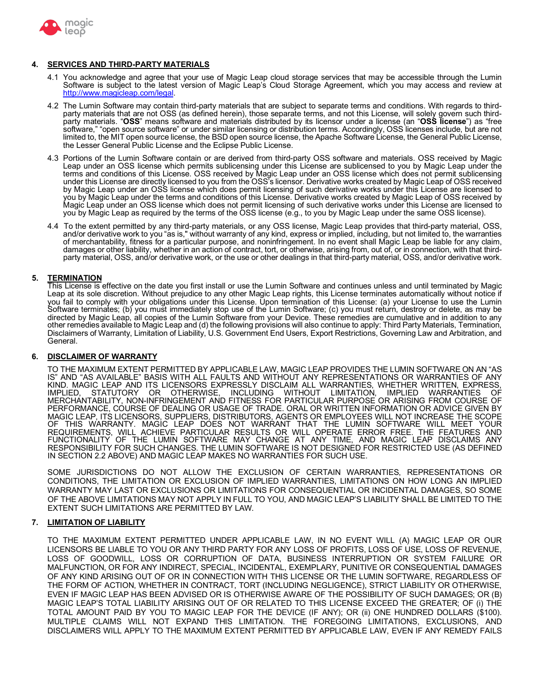

## **4. SERVICES AND THIRD-PARTY MATERIALS**

- 4.1 You acknowledge and agree that your use of Magic Leap cloud storage services that may be accessible through the Lumin Software is subject to the latest version of Magic Leap's Cloud Storage Agreement, which you may access and review at <http://www.magicleap.com/legal>.
- 4.2 The Lumin Software may contain third-party materials that are subject to separate terms and conditions. With regards to thirdparty materials that are not OSS (as defined herein), those separate terms, and not this License, will solely govern such third-<br>party materials. "OSS" means software and materials distributed by its licensor under a licen software," "open source software" or under similar licensing or distribution terms. Accordingly, OSS licenses include, but are not limited to, the MIT open source license, the BSD open source license, the Apache Software License, the General Public License, the Lesser General Public License and the Eclipse Public License.
- 4.3 Portions of the Lumin Software contain or are derived from third-party OSS software and materials. OSS received by Magic Leap under an OSS license which permits sublicensing under this License are sublicensed to you by Magic Leap under the terms and conditions of this License. OSS received by Magic Leap under an OSS license which does not permit sublicensing under this License are directly licensed to you from the OSS's licensor. Derivative works created by Magic Leap of OSS received by Magic Leap under an OSS license which does permit licensing of such derivative works under this License are licensed to you by Magic Leap under the terms and conditions of this License. Derivative works created by Magic Leap of OSS received by Magic Leap under an OSS license which does not permit licensing of such derivative works under this License are licensed to you by Magic Leap as required by the terms of the OSS license (e.g., to you by Magic Leap under the same OSS license).
- 4.4 To the extent permitted by any third-party materials, or any OSS license, Magic Leap provides that third-party material, OSS, and/or derivative work to you "as is," without warranty of any kind, express or implied, including, but not limited to, the warranties of merchantability, fitness for a particular purpose, and noninfringement. In no event shall Magic Leap be liable for any claim, damages or other liability, whether in an action of contract, tort, or otherwise, arising from, out of, or in connection, with that thirdparty material, OSS, and/or derivative work, or the use or other dealings in that third-party material, OSS, and/or derivative work.

## **5. TERMINATION**

This License is effective on the date you first install or use the Lumin Software and continues unless and until terminated by Magic Leap at its sole discretion. Without prejudice to any other Magic Leap rights, this License terminates automatically without notice if you fail to comply with your obligations under this License. Upon termination of this License: (a) your License to use the Lumin Software terminates; (b) you must immediately stop use of the Lumin Software; (c) you must return, destroy or delete, as may be directed by Magic Leap, all copies of the Lumin Software from your Device. These remedies are cumulative and in addition to any other remedies available to Magic Leap and (d) the following provisions will also continue to apply: Third Party Materials, Termination, Disclaimers of Warranty, Limitation of Liability, U.S. Government End Users, Export Restrictions, Governing Law and Arbitration, and General.

## **6. DISCLAIMER OF WARRANTY**

TO THE MAXIMUM EXTENT PERMITTED BY APPLICABLE LAW, MAGIC LEAP PROVIDES THE LUMIN SOFTWARE ON AN "AS IS" AND "AS AVAILABLE" BASIS WITH ALL FAULTS AND WITHOUT ANY REPRESENTATIONS OR WARRANTIES OF ANY KIND. MAGIC LEAP AND ITS LICENSORS EXPRESSLY DISCLAIM ALL WARRANTIES, WHETHER WRITTEN, EXPRESS, IMPLIED, STATUTORY OR OTHERWISE, INCLUDING WITHOUT LIMITATION, IMPLIED WARRANTIES OF IMPLIED, STATUTORY OR OTHERWISE, INCLUDING WITHOUT LIMITATION, IMPLIED WARRANTIES OF<br>MERCHANTABILITY,NON-INFRINGEMENT AND FITNESS FOR PARTICULAR PURPOSE OR ARISING FROM COURSE OF PERFORMANCE, COURSE OF DEALING OR USAGE OF TRADE. ORAL OR WRITTEN INFORMATION OR ADVICE GIVEN BY MAGIC LEAP, ITS LICENSORS, SUPPLIERS, DISTRIBUTORS, AGENTS OR EMPLOYEES WILL NOT INCREASE THE SCOPE OF THIS WARRANTY. MAGIC LEAP DOES NOT WARRANT THAT THE LUMIN SOFTWARE WILL MEET YOUR REQUIREMENTS, WILL ACHIEVE PARTICULAR RESULTS OR WILL OPERATE ERROR FREE. THE FEATURES AND FUNCTIONALITY OF THE LUMIN SOFTWARE MAY CHANGE AT ANY TIME, AND MAGIC LEAP DISCLAIMS ANY RESPONSIBILITY FOR SUCH CHANGES. THE LUMIN SOFTWARE IS NOT DESIGNED FOR RESTRICTED USE (AS DEFINED IN SECTION 2.2 ABOVE) AND MAGIC LEAP MAKES NO WARRANTIES FOR SUCH USE.

SOME JURISDICTIONS DO NOT ALLOW THE EXCLUSION OF CERTAIN WARRANTIES, REPRESENTATIONS OR CONDITIONS, THE LIMITATION OR EXCLUSION OF IMPLIED WARRANTIES, LIMITATIONS ON HOW LONG AN IMPLIED WARRANTY MAY LAST OR EXCLUSIONS OR LIMITATIONS FOR CONSEQUENTIAL OR INCIDENTAL DAMAGES, SO SOME OF THE ABOVE LIMITATIONS MAY NOT APPLY IN FULL TO YOU, AND MAGIC LEAP'S LIABILITY SHALL BE LIMITED TO THE EXTENT SUCH LIMITATIONS ARE PERMITTED BY LAW.

## **7. LIMITATION OF LIABILITY**

TO THE MAXIMUM EXTENT PERMITTED UNDER APPLICABLE LAW, IN NO EVENT WILL (A) MAGIC LEAP OR OUR LICENSORS BE LIABLE TO YOU OR ANY THIRD PARTY FOR ANY LOSS OF PROFITS, LOSS OF USE, LOSS OF REVENUE, LOSS OF GOODWILL, LOSS OR CORRUPTION OF DATA, BUSINESS INTERRUPTION OR SYSTEM FAILURE OR MALFUNCTION, OR FOR ANY INDIRECT, SPECIAL, INCIDENTAL, EXEMPLARY, PUNITIVE OR CONSEQUENTIAL DAMAGES OF ANY KIND ARISING OUT OF OR IN CONNECTION WITH THIS LICENSE OR THE LUMIN SOFTWARE, REGARDLESS OF THE FORM OF ACTION, WHETHER IN CONTRACT, TORT (INCLUDING NEGLIGENCE), STRICT LIABILITY OR OTHERWISE, EVEN IF MAGIC LEAP HAS BEEN ADVISED OR IS OTHERWISE AWARE OF THE POSSIBILITY OF SUCH DAMAGES; OR (B) MAGIC LEAP'S TOTAL LIABILITY ARISING OUT OF OR RELATED TO THIS LICENSE EXCEED THE GREATER; OF (i) THE TOTAL AMOUNT PAID BY YOU TO MAGIC LEAP FOR THE DEVICE (IF ANY); OR (ii) ONE HUNDRED DOLLARS (\$100). MULTIPLE CLAIMS WILL NOT EXPAND THIS LIMITATION. THE FOREGOING LIMITATIONS, EXCLUSIONS, AND DISCLAIMERS WILL APPLY TO THE MAXIMUM EXTENT PERMITTED BY APPLICABLE LAW, EVEN IF ANY REMEDY FAILS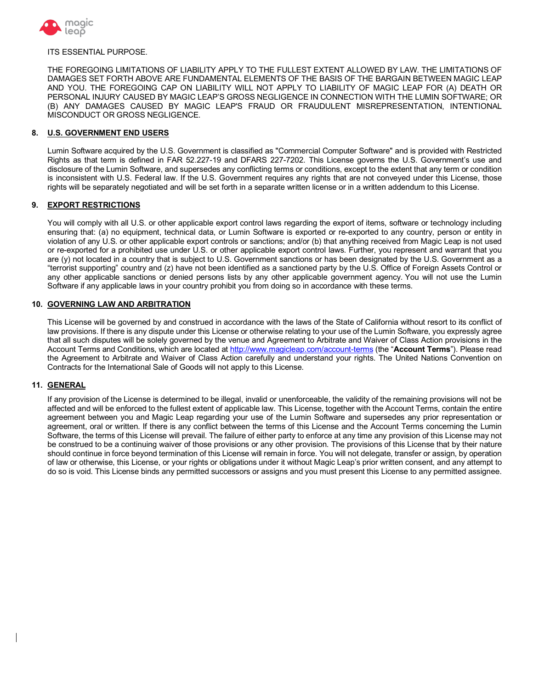

#### ITS ESSENTIAL PURPOSE.

 THE FOREGOING LIMITATIONS OF LIABILITY APPLY TO THE FULLEST EXTENT ALLOWED BY LAW. THE LIMITATIONS OF DAMAGES SET FORTH ABOVE ARE FUNDAMENTAL ELEMENTS OF THE BASIS OF THE BARGAIN BETWEEN MAGIC LEAP AND YOU. THE FOREGOING CAP ON LIABILITY WILL NOT APPLY TO LIABILITY OF MAGIC LEAP FOR (A) DEATH OR PERSONAL INJURY CAUSED BY MAGIC LEAP'S GROSS NEGLIGENCE IN CONNECTION WITH THE LUMIN SOFTWARE; OR (B) ANY DAMAGES CAUSED BY MAGIC LEAP'S FRAUD OR FRAUDULENT MISREPRESENTATION, INTENTIONAL MISCONDUCT OR GROSS NEGLIGENCE.

#### **8. U.S. GOVERNMENT END USERS**

 Lumin Software acquired by the U.S. Government is classified as "Commercial Computer Software" and is provided with Restricted Rights as that term is defined in FAR 52.227-19 and DFARS 227-7202. This License governs the U.S. Government's use and disclosure of the Lumin Software, and supersedes any conflicting terms or conditions, except to the extent that any term or condition is inconsistent with U.S. Federal law. If the U.S. Government requires any rights that are not conveyed under this License, those rights will be separately negotiated and will be set forth in a separate written license or in a written addendum to this License.

## **9. EXPORT RESTRICTIONS**

 You will comply with all U.S. or other applicable export control laws regarding the export of items, software or technology including ensuring that: (a) no equipment, technical data, or Lumin Software is exported or re-exported to any country, person or entity in violation of any U.S. or other applicable export controls or sanctions; and/or (b) that anything received from Magic Leap is not used or re-exported for a prohibited use under U.S. or other applicable export control laws. Further, you represent and warrant that you are (y) not located in a country that is subject to U.S. Government sanctions or has been designated by the U.S. Government as a "terrorist supporting" country and (z) have not been identified as a sanctioned party by the U.S. Office of Foreign Assets Control or any other applicable sanctions or denied persons lists by any other applicable government agency. You will not use the Lumin Software if any applicable laws in your country prohibit you from doing so in accordance with these terms.

#### **10. GOVERNING LAW AND ARBITRATION**

 This License will be governed by and construed in accordance with the laws of the State of California without resort to its conflict of law provisions. If there is any dispute under this License or otherwise relating to your use of the Lumin Software, you expressly agree that all such disputes will be solely governed by the venue and Agreement to Arbitrate and Waiver of Class Action provisions in the Account Terms and Conditions, which are located at<http://www.magicleap.com/account-terms> (the "**Account Terms**"). Please read the Agreement to Arbitrate and Waiver of Class Action carefully and understand your rights. The United Nations Convention on Contracts for the International Sale of Goods will not apply to this License.

## **11. GENERAL**

 If any provision of the License is determined to be illegal, invalid or unenforceable, the validity of the remaining provisions will not be affected and will be enforced to the fullest extent of applicable law. This License, together with the Account Terms, contain the entire agreement between you and Magic Leap regarding your use of the Lumin Software and supersedes any prior representation or agreement, oral or written. If there is any conflict between the terms of this License and the Account Terms concerning the Lumin Software, the terms of this License will prevail. The failure of either party to enforce at any time any provision of this License may not be construed to be a continuing waiver of those provisions or any other provision. The provisions of this License that by their nature should continue in force beyond termination of this License will remain in force. You will not delegate, transfer or assign, by operation of law or otherwise, this License, or your rights or obligations under it without Magic Leap's prior written consent, and any attempt to do so is void. This License binds any permitted successors or assigns and you must present this License to any permitted assignee.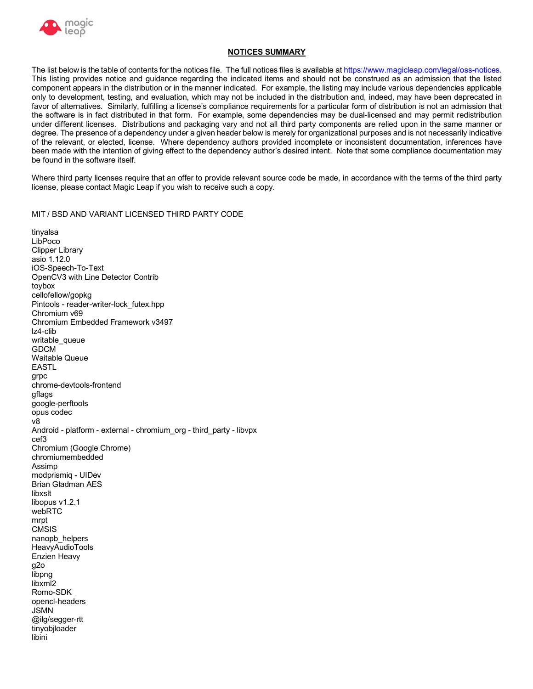

# **NOTICES SUMMARY**

 The list below is the table of contents for the notices file. The full notices files is available at<https://www.magicleap.com/legal/oss-notices>. This listing provides notice and guidance regarding the indicated items and should not be construed as an admission that the listed component appears in the distribution or in the manner indicated. For example, the listing may include various dependencies applicable only to development, testing, and evaluation, which may not be included in the distribution and, indeed, may have been deprecated in favor of alternatives. Similarly, fulfilling a license's compliance requirements for a particular form of distribution is not an admission that the software is in fact distributed in that form. For example, some dependencies may be dual-licensed and may permit redistribution under different licenses. Distributions and packaging vary and not all third party components are relied upon in the same manner or degree. The presence of a dependency under a given header below is merely for organizational purposes and is not necessarily indicative of the relevant, or elected, license. Where dependency authors provided incomplete or inconsistent documentation, inferences have been made with the intention of giving effect to the dependency author's desired intent. Note that some compliance documentation may be found in the software itself.

 Where third party licenses require that an offer to provide relevant source code be made, in accordance with the terms of the third party license, please contact Magic Leap if you wish to receive such a copy.

#### MIT / BSD AND VARIANT LICENSED THIRD PARTY CODE

 asio 1.12.0 OpenCV3 with Line Detector Contrib Chromium v69 Chromium Embedded Framework v3497 Android - platform - external - chromium\_org - third\_party - libvpx Chromium (Google Chrome) modprismiq - UIDev Brian Gladman AES Enzien Heavy tinyalsa LibPoco Clipper Library iOS-Speech-To-Text toybox cellofellow/gopkg Pintools - reader-writer-lock\_futex.hpp lz4-clib writable\_queue GDCM Waitable Queue EASTL grpc chrome-devtools-frontend gflags google-perftools opus codec v8 cef3 chromiumembedded Assimp libxslt libopus v1.2.1 webRTC mrpt **CMSIS** nanopb\_helpers **HeavvAudioTools** g2o libpng libxm<sup>12</sup> Romo-SDK opencl-headers JSMN @ilg/segger-rtt tinyobjloader libini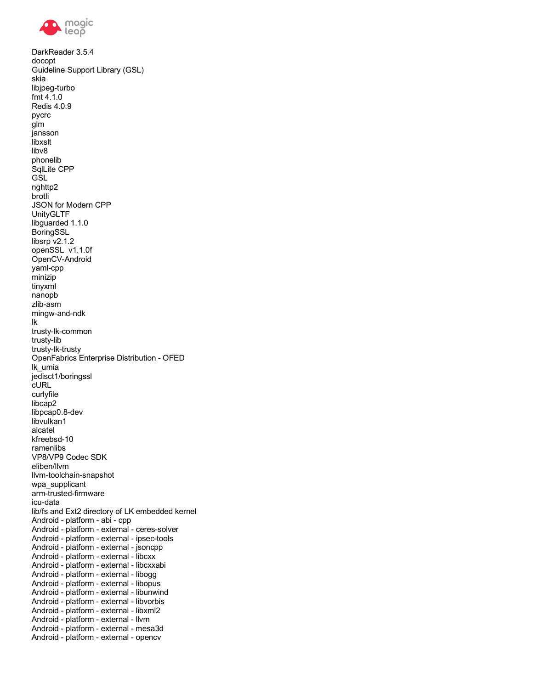

 DarkReader 3.5.4 Guideline Support Library (GSL) JSON for Modern CPP libsrp v2.1.2 openSSL v1.1.0f OpenFabrics Enterprise Distribution - OFED VP8/VP9 Codec SDK lib/fs and Ext2 directory of LK embedded kernel Android - platform - abi - cpp Android - platform - external - ipsec-tools Android - platform - external - jsoncpp Android - platform - external - libcxx Android - platform - external - libcxxabi Android - platform - external - libogg Android - platform - external - libopus Android - platform - external - libunwind Android - platform - external - libvorbis Android - platform - external - libxml2 Android - platform - external - llvm Android - platform - external - mesa3d Android - platform - external - opencv docopt skia libjpeg-turbo fmt 4.1.0 Redis 4.0.9 pycrc glm jansson libxslt libv8 phonelib SqlLite CPP **GSL** nghttp2 brotli UnityGLTF libguarded 1.1.0 BoringSSL OpenCV-Android yaml-cpp minizip tinyxml nanopb zlib-asm mingw-and-ndk lk trusty-lk-common trusty-lib trusty-lk-trusty lk\_umia jedisct1/boringssl cURL curlyfile libcap2 libpcap0.8-dev libvulkan1 alcatel kfreebsd-10 ramenlibs eliben/llvm llvm-toolchain-snapshot wpa\_supplicant arm-trusted-firmware icu-data Android - platform - external - ceres-solver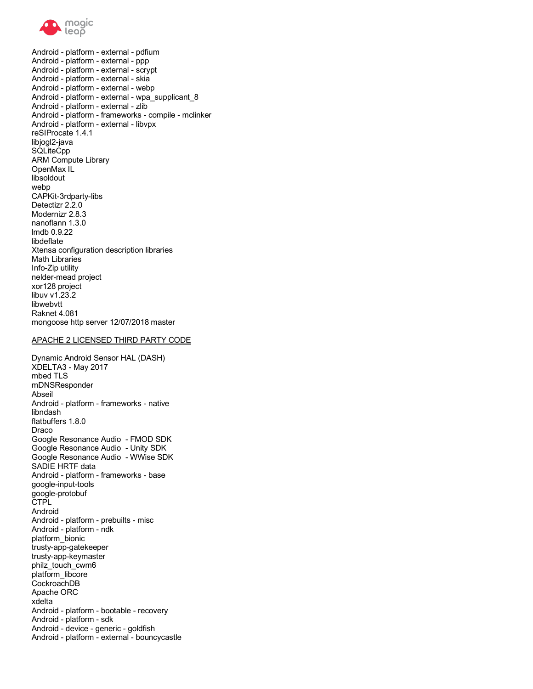

 Android - platform - external - pdfium Android - platform - external - ppp Android - platform - external - scrypt Android - platform - external - skia Android - platform - external - webp Android - platform - external - zlib Android - platform - frameworks - compile - mclinker Android - platform - external - libvpx reSIProcate 1.4.1 ARM Compute Library Detectizr 2.2.0 Modernizr 2.8.3 Xtensa configuration description libraries xor128 project Raknet 4.081 mongoose http server 12/07/2018 master Android - platform - external - wpa\_supplicant\_8 libjogl2-java **SQLiteCpp** OpenMax IL libsoldout webp CAPKit-3rdparty-libs nanoflann 1.3.0 lmdb 0.9.22 libdeflate Math Libraries Info-Zip utility nelder-mead project libuv v1.23.2 libwebvtt

#### APACHE 2 LICENSED THIRD PARTY CODE

 Dynamic Android Sensor HAL (DASH) Android - platform - frameworks - native Google Resonance Audio - FMOD SDK Google Resonance Audio - Unity SDK Google Resonance Audio - WWise SDK Android - platform - frameworks - base Android - platform - prebuilts - misc Android - platform - ndk Apache ORC Android - platform - bootable - recovery Android - platform - sdk Android - device - generic - goldfish XDELTA3 - May 2017 mbed TLS mDNSResponder Abseil libndash flatbuffers 1.8.0 Draco SADIE HRTF data google-input-tools google-protobuf CTPL Android platform\_bionic trusty-app-gatekeeper trusty-app-keymaster philz\_touch\_cwm6 platform\_libcore CockroachDB xdelta Android - platform - external - bouncycastle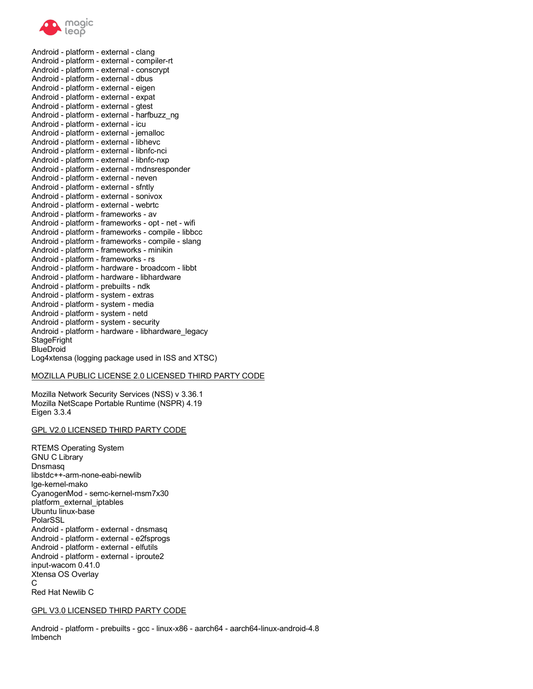

 Android - platform - external - clang Android - platform - external - compiler-rt Android - platform - external - conscrypt Android - platform - external - dbus Android - platform - external - eigen Android - platform - external - expat Android - platform - external - gtest Android - platform - external - icu Android - platform - external - jemalloc Android - platform - external - libhevc Android - platform - external - libnfc-nci Android - platform - external - libnfc-nxp Android - platform - external - neven Android - platform - external - sfntly Android - platform - external - sonivox Android - platform - external - webrtc Android - platform - frameworks - av Android - platform - frameworks - opt - net - wifi Android - platform - frameworks - compile - libbcc Android - platform - frameworks - compile - slang Android - platform - frameworks - minikin Android - platform - frameworks - rs Android - platform - hardware - broadcom - libbt Android - platform - prebuilts - ndk Android - platform - system - extras Android - platform - system - media Android - platform - system - netd Android - platform - system - security Log4xtensa (logging package used in ISS and XTSC) Android - platform - external - harfbuzz\_ng Android - platform - external - mdnsresponder Android - platform - hardware - libhardware Android - platform - hardware - libhardware\_legacy **StageFright BlueDroid** 

#### MOZILLA PUBLIC LICENSE 2.0 LICENSED THIRD PARTY CODE

 Mozilla Network Security Services (NSS) v 3.36.1 Mozilla NetScape Portable Runtime (NSPR) 4.19 Eigen 3.3.4

#### GPL V2.0 LICENSED THIRD PARTY CODE

 RTEMS Operating System CyanogenMod - semc-kernel-msm7x30 Android - platform - external - dnsmasq Android - platform - external - e2fsprogs Android - platform - external - elfutils Android - platform - external - iproute2 input-wacom 0.41.0 Xtensa OS Overlay Red Hat Newlib C GNU C Library Dnsmasq libstdc++-arm-none-eabi-newlib lge-kernel-mako platform\_external\_iptables Ubuntu linux-base PolarSSL C

#### GPL V3.0 LICENSED THIRD PARTY CODE

 Android - platform - prebuilts - gcc - linux-x86 - aarch64 - aarch64-linux-android-4.8 lmbench